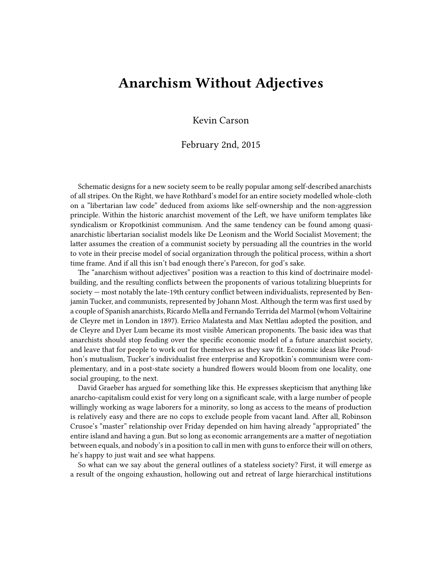## **Anarchism Without Adjectives**

Kevin Carson

## February 2nd, 2015

Schematic designs for a new society seem to be really popular among self-described anarchists of all stripes. On the Right, we have Rothbard's model for an entire society modelled whole-cloth on a "libertarian law code" deduced from axioms like self-ownership and the non-aggression principle. Within the historic anarchist movement of the Left, we have uniform templates like syndicalism or Kropotkinist communism. And the same tendency can be found among quasianarchistic libertarian socialist models like De Leonism and the World Socialist Movement; the latter assumes the creation of a communist society by persuading all the countries in the world to vote in their precise model of social organization through the political process, within a short time frame. And if all this isn't bad enough there's Parecon, for god's sake.

The "anarchism without adjectives" position was a reaction to this kind of doctrinaire modelbuilding, and the resulting conflicts between the proponents of various totalizing blueprints for society — most notably the late-19th century conflict between individualists, represented by Benjamin Tucker, and communists, represented by Johann Most. Although the term was first used by a couple of Spanish anarchists, Ricardo Mella and Fernando Terrida del Marmol (whom Voltairine de Cleyre met in London in 1897). Errico Malatesta and Max Nettlau adopted the position, and de Cleyre and Dyer Lum became its most visible American proponents. The basic idea was that anarchists should stop feuding over the specific economic model of a future anarchist society, and leave that for people to work out for themselves as they saw fit. Economic ideas like Proudhon's mutualism, Tucker's individualist free enterprise and Kropotkin's communism were complementary, and in a post-state society a hundred flowers would bloom from one locality, one social grouping, to the next.

David Graeber has argued for something like this. He expresses skepticism that anything like anarcho-capitalism could exist for very long on a significant scale, with a large number of people willingly working as wage laborers for a minority, so long as access to the means of production is relatively easy and there are no cops to exclude people from vacant land. After all, Robinson Crusoe's "master" relationship over Friday depended on him having already "appropriated" the entire island and having a gun. But so long as economic arrangements are a matter of negotiation between equals, and nobody's in a position to call in men with guns to enforce their will on others, he's happy to just wait and see what happens.

So what can we say about the general outlines of a stateless society? First, it will emerge as a result of the ongoing exhaustion, hollowing out and retreat of large hierarchical institutions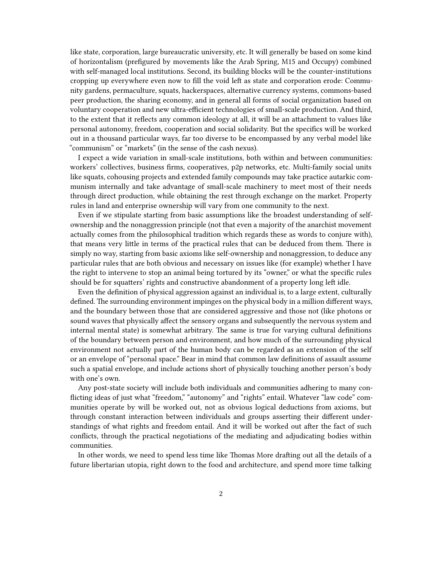like state, corporation, large bureaucratic university, etc. It will generally be based on some kind of horizontalism (prefigured by movements like the Arab Spring, M15 and Occupy) combined with self-managed local institutions. Second, its building blocks will be the counter-institutions cropping up everywhere even now to fill the void left as state and corporation erode: Community gardens, permaculture, squats, hackerspaces, alternative currency systems, commons-based peer production, the sharing economy, and in general all forms of social organization based on voluntary cooperation and new ultra-efficient technologies of small-scale production. And third, to the extent that it reflects any common ideology at all, it will be an attachment to values like personal autonomy, freedom, cooperation and social solidarity. But the specifics will be worked out in a thousand particular ways, far too diverse to be encompassed by any verbal model like "communism" or "markets" (in the sense of the cash nexus).

I expect a wide variation in small-scale institutions, both within and between communities: workers' collectives, business firms, cooperatives, p2p networks, etc. Multi-family social units like squats, cohousing projects and extended family compounds may take practice autarkic communism internally and take advantage of small-scale machinery to meet most of their needs through direct production, while obtaining the rest through exchange on the market. Property rules in land and enterprise ownership will vary from one community to the next.

Even if we stipulate starting from basic assumptions like the broadest understanding of selfownership and the nonaggression principle (not that even a majority of the anarchist movement actually comes from the philosophical tradition which regards these as words to conjure with), that means very little in terms of the practical rules that can be deduced from them. There is simply no way, starting from basic axioms like self-ownership and nonaggression, to deduce any particular rules that are both obvious and necessary on issues like (for example) whether I have the right to intervene to stop an animal being tortured by its "owner," or what the specific rules should be for squatters' rights and constructive abandonment of a property long left idle.

Even the definition of physical aggression against an individual is, to a large extent, culturally defined. The surrounding environment impinges on the physical body in a million different ways, and the boundary between those that are considered aggressive and those not (like photons or sound waves that physically affect the sensory organs and subsequently the nervous system and internal mental state) is somewhat arbitrary. The same is true for varying cultural definitions of the boundary between person and environment, and how much of the surrounding physical environment not actually part of the human body can be regarded as an extension of the self or an envelope of "personal space." Bear in mind that common law definitions of assault assume such a spatial envelope, and include actions short of physically touching another person's body with one's own.

Any post-state society will include both individuals and communities adhering to many conflicting ideas of just what "freedom," "autonomy" and "rights" entail. Whatever "law code" communities operate by will be worked out, not as obvious logical deductions from axioms, but through constant interaction between individuals and groups asserting their different understandings of what rights and freedom entail. And it will be worked out after the fact of such conflicts, through the practical negotiations of the mediating and adjudicating bodies within communities.

In other words, we need to spend less time like Thomas More drafting out all the details of a future libertarian utopia, right down to the food and architecture, and spend more time talking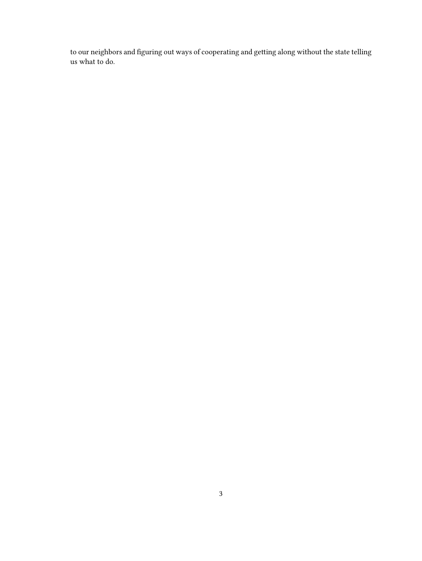to our neighbors and figuring out ways of cooperating and getting along without the state telling us what to do.